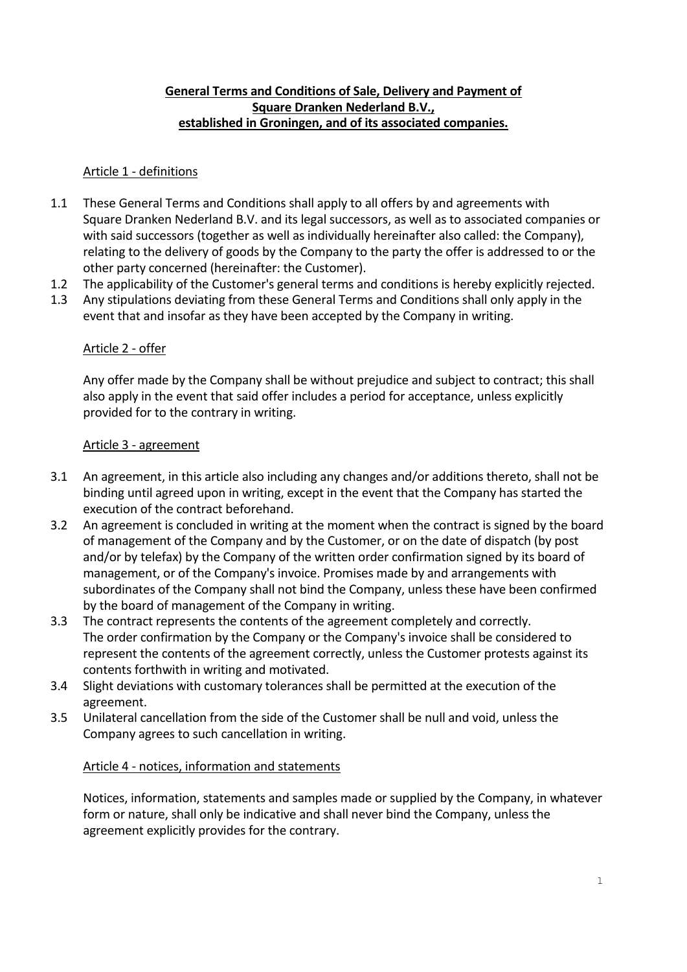# **General Terms and Conditions of Sale, Delivery and Payment of Square Dranken Nederland B.V., established in Groningen, and of its associated companies.**

### Article 1 - definitions

- 1.1 These General Terms and Conditions shall apply to all offers by and agreements with Square Dranken Nederland B.V. and its legal successors, as well as to associated companies or with said successors (together as well as individually hereinafter also called: the Company), relating to the delivery of goods by the Company to the party the offer is addressed to or the other party concerned (hereinafter: the Customer).
- 1.2 The applicability of the Customer's general terms and conditions is hereby explicitly rejected.
- 1.3 Any stipulations deviating from these General Terms and Conditions shall only apply in the event that and insofar as they have been accepted by the Company in writing.

### Article 2 - offer

Any offer made by the Company shall be without prejudice and subject to contract; this shall also apply in the event that said offer includes a period for acceptance, unless explicitly provided for to the contrary in writing.

### Article 3 - agreement

- 3.1 An agreement, in this article also including any changes and/or additions thereto, shall not be binding until agreed upon in writing, except in the event that the Company has started the execution of the contract beforehand.
- 3.2 An agreement is concluded in writing at the moment when the contract is signed by the board of management of the Company and by the Customer, or on the date of dispatch (by post and/or by telefax) by the Company of the written order confirmation signed by its board of management, or of the Company's invoice. Promises made by and arrangements with subordinates of the Company shall not bind the Company, unless these have been confirmed by the board of management of the Company in writing.
- 3.3 The contract represents the contents of the agreement completely and correctly. The order confirmation by the Company or the Company's invoice shall be considered to represent the contents of the agreement correctly, unless the Customer protests against its contents forthwith in writing and motivated.
- 3.4 Slight deviations with customary tolerances shall be permitted at the execution of the agreement.
- 3.5 Unilateral cancellation from the side of the Customer shall be null and void, unless the Company agrees to such cancellation in writing.

# Article 4 - notices, information and statements

Notices, information, statements and samples made or supplied by the Company, in whatever form or nature, shall only be indicative and shall never bind the Company, unless the agreement explicitly provides for the contrary.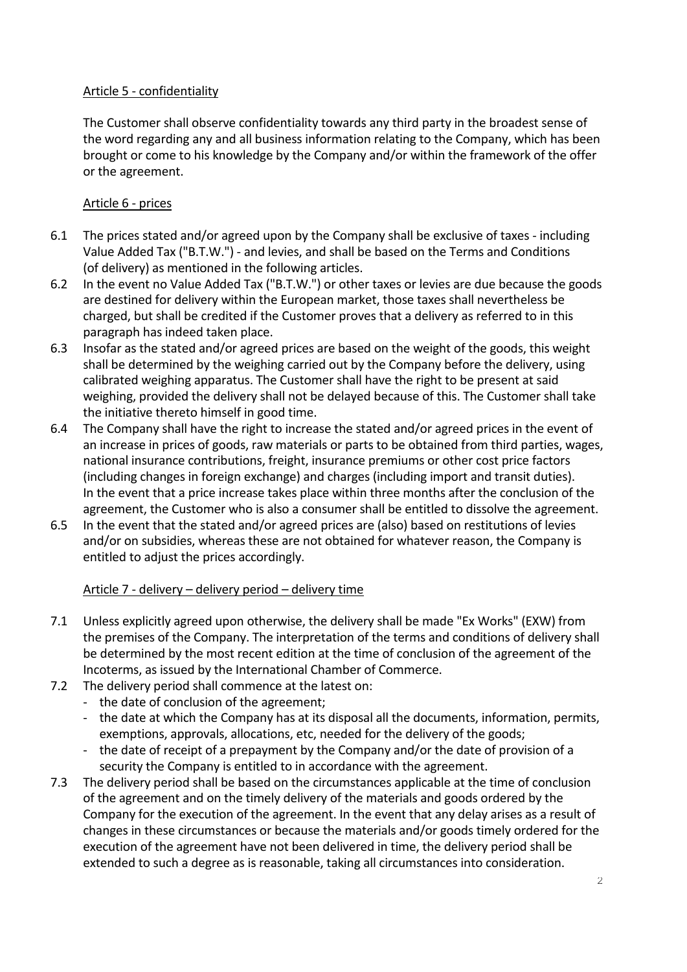# Article 5 - confidentiality

The Customer shall observe confidentiality towards any third party in the broadest sense of the word regarding any and all business information relating to the Company, which has been brought or come to his knowledge by the Company and/or within the framework of the offer or the agreement.

# Article 6 - prices

- 6.1 The prices stated and/or agreed upon by the Company shall be exclusive of taxes including Value Added Tax ("B.T.W.") - and levies, and shall be based on the Terms and Conditions (of delivery) as mentioned in the following articles.
- 6.2 In the event no Value Added Tax ("B.T.W.") or other taxes or levies are due because the goods are destined for delivery within the European market, those taxes shall nevertheless be charged, but shall be credited if the Customer proves that a delivery as referred to in this paragraph has indeed taken place.
- 6.3 Insofar as the stated and/or agreed prices are based on the weight of the goods, this weight shall be determined by the weighing carried out by the Company before the delivery, using calibrated weighing apparatus. The Customer shall have the right to be present at said weighing, provided the delivery shall not be delayed because of this. The Customer shall take the initiative thereto himself in good time.
- 6.4 The Company shall have the right to increase the stated and/or agreed prices in the event of an increase in prices of goods, raw materials or parts to be obtained from third parties, wages, national insurance contributions, freight, insurance premiums or other cost price factors (including changes in foreign exchange) and charges (including import and transit duties). In the event that a price increase takes place within three months after the conclusion of the agreement, the Customer who is also a consumer shall be entitled to dissolve the agreement.
- 6.5 In the event that the stated and/or agreed prices are (also) based on restitutions of levies and/or on subsidies, whereas these are not obtained for whatever reason, the Company is entitled to adjust the prices accordingly.

# Article 7 - delivery – delivery period – delivery time

- 7.1 Unless explicitly agreed upon otherwise, the delivery shall be made "Ex Works" (EXW) from the premises of the Company. The interpretation of the terms and conditions of delivery shall be determined by the most recent edition at the time of conclusion of the agreement of the Incoterms, as issued by the International Chamber of Commerce.
- 7.2 The delivery period shall commence at the latest on:
	- the date of conclusion of the agreement;
		- the date at which the Company has at its disposal all the documents, information, permits, exemptions, approvals, allocations, etc, needed for the delivery of the goods;
		- the date of receipt of a prepayment by the Company and/or the date of provision of a security the Company is entitled to in accordance with the agreement.
- 7.3 The delivery period shall be based on the circumstances applicable at the time of conclusion of the agreement and on the timely delivery of the materials and goods ordered by the Company for the execution of the agreement. In the event that any delay arises as a result of changes in these circumstances or because the materials and/or goods timely ordered for the execution of the agreement have not been delivered in time, the delivery period shall be extended to such a degree as is reasonable, taking all circumstances into consideration.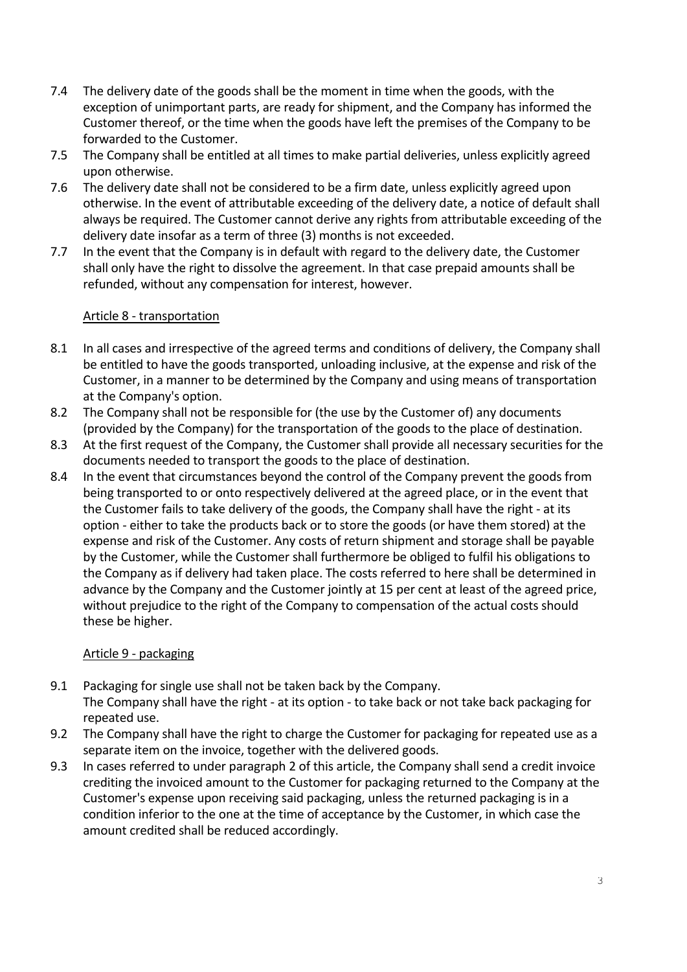- 7.4 The delivery date of the goods shall be the moment in time when the goods, with the exception of unimportant parts, are ready for shipment, and the Company has informed the Customer thereof, or the time when the goods have left the premises of the Company to be forwarded to the Customer.
- 7.5 The Company shall be entitled at all times to make partial deliveries, unless explicitly agreed upon otherwise.
- 7.6 The delivery date shall not be considered to be a firm date, unless explicitly agreed upon otherwise. In the event of attributable exceeding of the delivery date, a notice of default shall always be required. The Customer cannot derive any rights from attributable exceeding of the delivery date insofar as a term of three (3) months is not exceeded.
- 7.7 In the event that the Company is in default with regard to the delivery date, the Customer shall only have the right to dissolve the agreement. In that case prepaid amounts shall be refunded, without any compensation for interest, however.

### Article 8 - transportation

- 8.1 In all cases and irrespective of the agreed terms and conditions of delivery, the Company shall be entitled to have the goods transported, unloading inclusive, at the expense and risk of the Customer, in a manner to be determined by the Company and using means of transportation at the Company's option.
- 8.2 The Company shall not be responsible for (the use by the Customer of) any documents (provided by the Company) for the transportation of the goods to the place of destination.
- 8.3 At the first request of the Company, the Customer shall provide all necessary securities for the documents needed to transport the goods to the place of destination.
- 8.4 In the event that circumstances beyond the control of the Company prevent the goods from being transported to or onto respectively delivered at the agreed place, or in the event that the Customer fails to take delivery of the goods, the Company shall have the right - at its option - either to take the products back or to store the goods (or have them stored) at the expense and risk of the Customer. Any costs of return shipment and storage shall be payable by the Customer, while the Customer shall furthermore be obliged to fulfil his obligations to the Company as if delivery had taken place. The costs referred to here shall be determined in advance by the Company and the Customer jointly at 15 per cent at least of the agreed price, without prejudice to the right of the Company to compensation of the actual costs should these be higher.

# Article 9 - packaging

- 9.1 Packaging for single use shall not be taken back by the Company. The Company shall have the right - at its option - to take back or not take back packaging for repeated use.
- 9.2 The Company shall have the right to charge the Customer for packaging for repeated use as a separate item on the invoice, together with the delivered goods.
- 9.3 In cases referred to under paragraph 2 of this article, the Company shall send a credit invoice crediting the invoiced amount to the Customer for packaging returned to the Company at the Customer's expense upon receiving said packaging, unless the returned packaging is in a condition inferior to the one at the time of acceptance by the Customer, in which case the amount credited shall be reduced accordingly.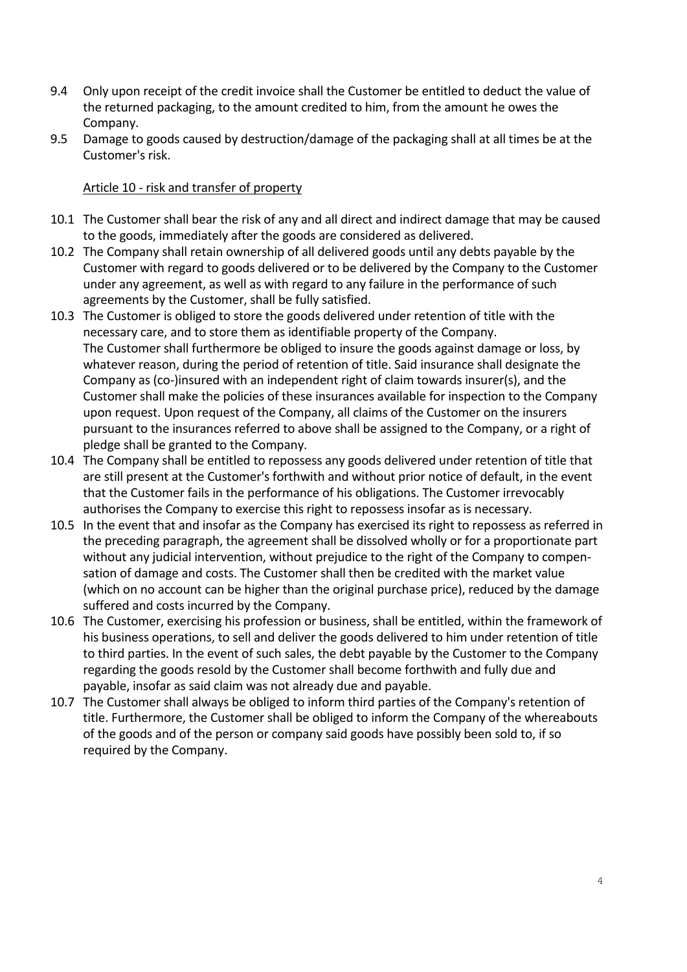- 9.4 Only upon receipt of the credit invoice shall the Customer be entitled to deduct the value of the returned packaging, to the amount credited to him, from the amount he owes the Company.
- 9.5 Damage to goods caused by destruction/damage of the packaging shall at all times be at the Customer's risk.

# Article 10 - risk and transfer of property

- 10.1 The Customer shall bear the risk of any and all direct and indirect damage that may be caused to the goods, immediately after the goods are considered as delivered.
- 10.2 The Company shall retain ownership of all delivered goods until any debts payable by the Customer with regard to goods delivered or to be delivered by the Company to the Customer under any agreement, as well as with regard to any failure in the performance of such agreements by the Customer, shall be fully satisfied.
- 10.3 The Customer is obliged to store the goods delivered under retention of title with the necessary care, and to store them as identifiable property of the Company. The Customer shall furthermore be obliged to insure the goods against damage or loss, by whatever reason, during the period of retention of title. Said insurance shall designate the Company as (co-)insured with an independent right of claim towards insurer(s), and the Customer shall make the policies of these insurances available for inspection to the Company upon request. Upon request of the Company, all claims of the Customer on the insurers pursuant to the insurances referred to above shall be assigned to the Company, or a right of pledge shall be granted to the Company.
- 10.4 The Company shall be entitled to repossess any goods delivered under retention of title that are still present at the Customer's forthwith and without prior notice of default, in the event that the Customer fails in the performance of his obligations. The Customer irrevocably authorises the Company to exercise this right to repossess insofar as is necessary.
- 10.5 In the event that and insofar as the Company has exercised its right to repossess as referred in the preceding paragraph, the agreement shall be dissolved wholly or for a proportionate part without any judicial intervention, without prejudice to the right of the Company to compensation of damage and costs. The Customer shall then be credited with the market value (which on no account can be higher than the original purchase price), reduced by the damage suffered and costs incurred by the Company.
- 10.6 The Customer, exercising his profession or business, shall be entitled, within the framework of his business operations, to sell and deliver the goods delivered to him under retention of title to third parties. In the event of such sales, the debt payable by the Customer to the Company regarding the goods resold by the Customer shall become forthwith and fully due and payable, insofar as said claim was not already due and payable.
- 10.7 The Customer shall always be obliged to inform third parties of the Company's retention of title. Furthermore, the Customer shall be obliged to inform the Company of the whereabouts of the goods and of the person or company said goods have possibly been sold to, if so required by the Company.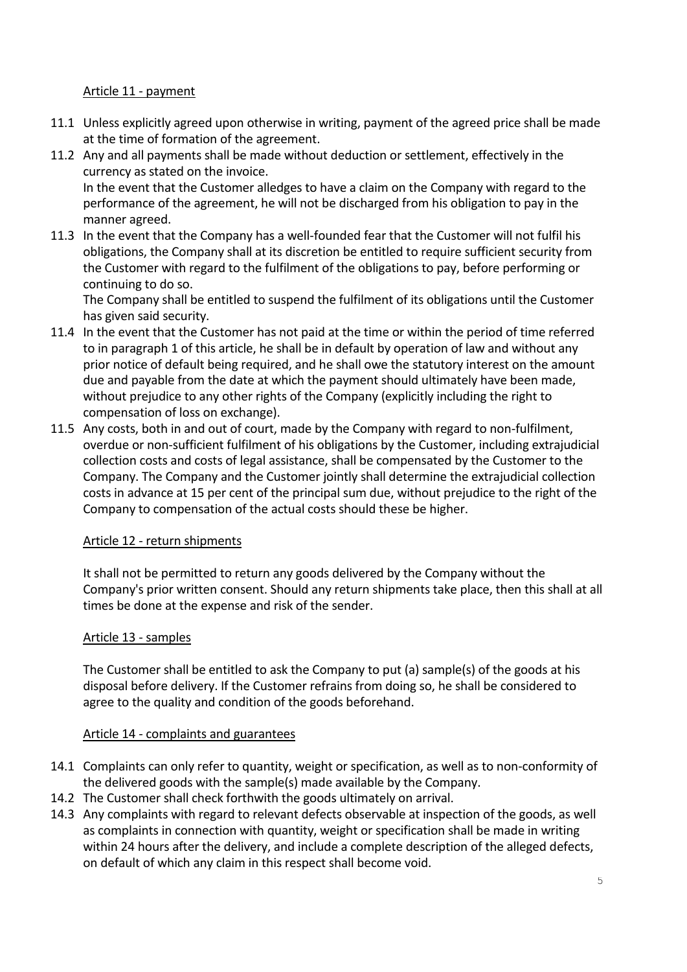# Article 11 - payment

- 11.1 Unless explicitly agreed upon otherwise in writing, payment of the agreed price shall be made at the time of formation of the agreement.
- 11.2 Any and all payments shall be made without deduction or settlement, effectively in the currency as stated on the invoice. In the event that the Customer alledges to have a claim on the Company with regard to the

performance of the agreement, he will not be discharged from his obligation to pay in the manner agreed.

11.3 In the event that the Company has a well-founded fear that the Customer will not fulfil his obligations, the Company shall at its discretion be entitled to require sufficient security from the Customer with regard to the fulfilment of the obligations to pay, before performing or continuing to do so.

The Company shall be entitled to suspend the fulfilment of its obligations until the Customer has given said security.

- 11.4 In the event that the Customer has not paid at the time or within the period of time referred to in paragraph 1 of this article, he shall be in default by operation of law and without any prior notice of default being required, and he shall owe the statutory interest on the amount due and payable from the date at which the payment should ultimately have been made, without prejudice to any other rights of the Company (explicitly including the right to compensation of loss on exchange).
- 11.5 Any costs, both in and out of court, made by the Company with regard to non-fulfilment, overdue or non-sufficient fulfilment of his obligations by the Customer, including extrajudicial collection costs and costs of legal assistance, shall be compensated by the Customer to the Company. The Company and the Customer jointly shall determine the extrajudicial collection costs in advance at 15 per cent of the principal sum due, without prejudice to the right of the Company to compensation of the actual costs should these be higher.

# Article 12 - return shipments

It shall not be permitted to return any goods delivered by the Company without the Company's prior written consent. Should any return shipments take place, then this shall at all times be done at the expense and risk of the sender.

#### Article 13 - samples

The Customer shall be entitled to ask the Company to put (a) sample(s) of the goods at his disposal before delivery. If the Customer refrains from doing so, he shall be considered to agree to the quality and condition of the goods beforehand.

#### Article 14 - complaints and guarantees

- 14.1 Complaints can only refer to quantity, weight or specification, as well as to non-conformity of the delivered goods with the sample(s) made available by the Company.
- 14.2 The Customer shall check forthwith the goods ultimately on arrival.
- 14.3 Any complaints with regard to relevant defects observable at inspection of the goods, as well as complaints in connection with quantity, weight or specification shall be made in writing within 24 hours after the delivery, and include a complete description of the alleged defects, on default of which any claim in this respect shall become void.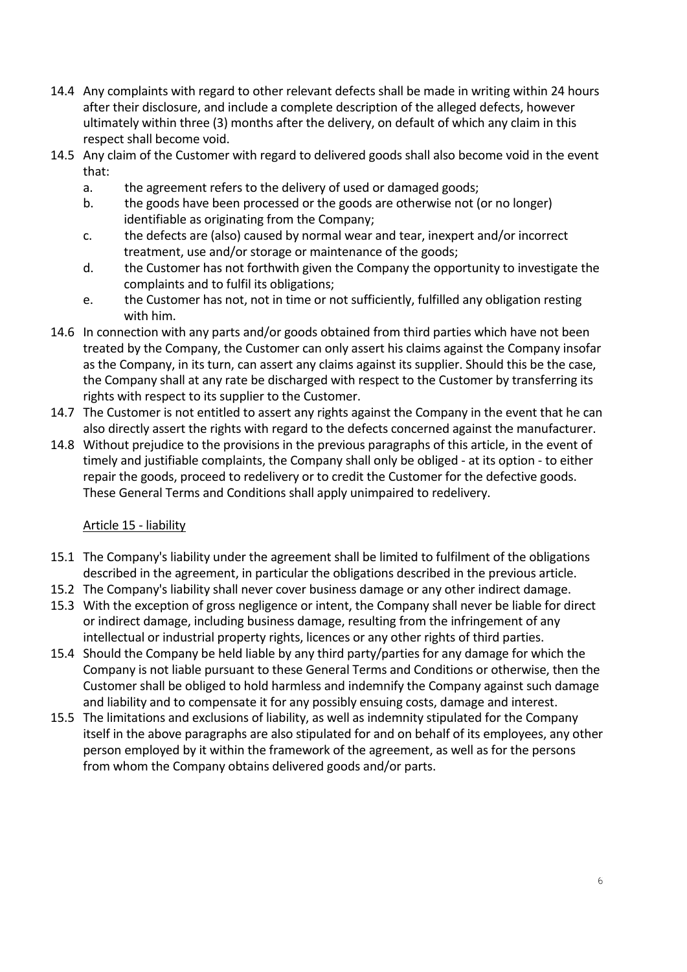- 14.4 Any complaints with regard to other relevant defects shall be made in writing within 24 hours after their disclosure, and include a complete description of the alleged defects, however ultimately within three (3) months after the delivery, on default of which any claim in this respect shall become void.
- 14.5 Any claim of the Customer with regard to delivered goods shall also become void in the event that:
	- a. the agreement refers to the delivery of used or damaged goods;
	- b. the goods have been processed or the goods are otherwise not (or no longer) identifiable as originating from the Company;
	- c. the defects are (also) caused by normal wear and tear, inexpert and/or incorrect treatment, use and/or storage or maintenance of the goods;
	- d. the Customer has not forthwith given the Company the opportunity to investigate the complaints and to fulfil its obligations;
	- e. the Customer has not, not in time or not sufficiently, fulfilled any obligation resting with him.
- 14.6 In connection with any parts and/or goods obtained from third parties which have not been treated by the Company, the Customer can only assert his claims against the Company insofar as the Company, in its turn, can assert any claims against its supplier. Should this be the case, the Company shall at any rate be discharged with respect to the Customer by transferring its rights with respect to its supplier to the Customer.
- 14.7 The Customer is not entitled to assert any rights against the Company in the event that he can also directly assert the rights with regard to the defects concerned against the manufacturer.
- 14.8 Without prejudice to the provisions in the previous paragraphs of this article, in the event of timely and justifiable complaints, the Company shall only be obliged - at its option - to either repair the goods, proceed to redelivery or to credit the Customer for the defective goods. These General Terms and Conditions shall apply unimpaired to redelivery.

# Article 15 - liability

- 15.1 The Company's liability under the agreement shall be limited to fulfilment of the obligations described in the agreement, in particular the obligations described in the previous article.
- 15.2 The Company's liability shall never cover business damage or any other indirect damage.
- 15.3 With the exception of gross negligence or intent, the Company shall never be liable for direct or indirect damage, including business damage, resulting from the infringement of any intellectual or industrial property rights, licences or any other rights of third parties.
- 15.4 Should the Company be held liable by any third party/parties for any damage for which the Company is not liable pursuant to these General Terms and Conditions or otherwise, then the Customer shall be obliged to hold harmless and indemnify the Company against such damage and liability and to compensate it for any possibly ensuing costs, damage and interest.
- 15.5 The limitations and exclusions of liability, as well as indemnity stipulated for the Company itself in the above paragraphs are also stipulated for and on behalf of its employees, any other person employed by it within the framework of the agreement, as well as for the persons from whom the Company obtains delivered goods and/or parts.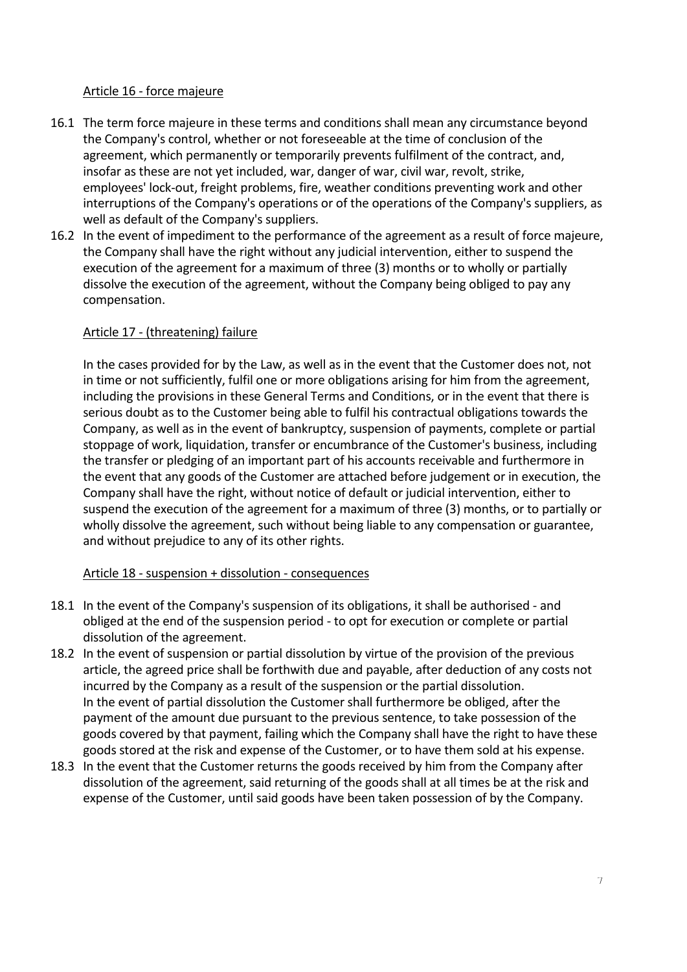#### Article 16 - force majeure

- 16.1 The term force majeure in these terms and conditions shall mean any circumstance beyond the Company's control, whether or not foreseeable at the time of conclusion of the agreement, which permanently or temporarily prevents fulfilment of the contract, and, insofar as these are not yet included, war, danger of war, civil war, revolt, strike, employees' lock-out, freight problems, fire, weather conditions preventing work and other interruptions of the Company's operations or of the operations of the Company's suppliers, as well as default of the Company's suppliers.
- 16.2 In the event of impediment to the performance of the agreement as a result of force majeure, the Company shall have the right without any judicial intervention, either to suspend the execution of the agreement for a maximum of three (3) months or to wholly or partially dissolve the execution of the agreement, without the Company being obliged to pay any compensation.

# Article 17 - (threatening) failure

In the cases provided for by the Law, as well as in the event that the Customer does not, not in time or not sufficiently, fulfil one or more obligations arising for him from the agreement, including the provisions in these General Terms and Conditions, or in the event that there is serious doubt as to the Customer being able to fulfil his contractual obligations towards the Company, as well as in the event of bankruptcy, suspension of payments, complete or partial stoppage of work, liquidation, transfer or encumbrance of the Customer's business, including the transfer or pledging of an important part of his accounts receivable and furthermore in the event that any goods of the Customer are attached before judgement or in execution, the Company shall have the right, without notice of default or judicial intervention, either to suspend the execution of the agreement for a maximum of three (3) months, or to partially or wholly dissolve the agreement, such without being liable to any compensation or guarantee, and without prejudice to any of its other rights.

#### Article 18 - suspension + dissolution - consequences

- 18.1 In the event of the Company's suspension of its obligations, it shall be authorised and obliged at the end of the suspension period - to opt for execution or complete or partial dissolution of the agreement.
- 18.2 In the event of suspension or partial dissolution by virtue of the provision of the previous article, the agreed price shall be forthwith due and payable, after deduction of any costs not incurred by the Company as a result of the suspension or the partial dissolution. In the event of partial dissolution the Customer shall furthermore be obliged, after the payment of the amount due pursuant to the previous sentence, to take possession of the goods covered by that payment, failing which the Company shall have the right to have these goods stored at the risk and expense of the Customer, or to have them sold at his expense.
- 18.3 In the event that the Customer returns the goods received by him from the Company after dissolution of the agreement, said returning of the goods shall at all times be at the risk and expense of the Customer, until said goods have been taken possession of by the Company.